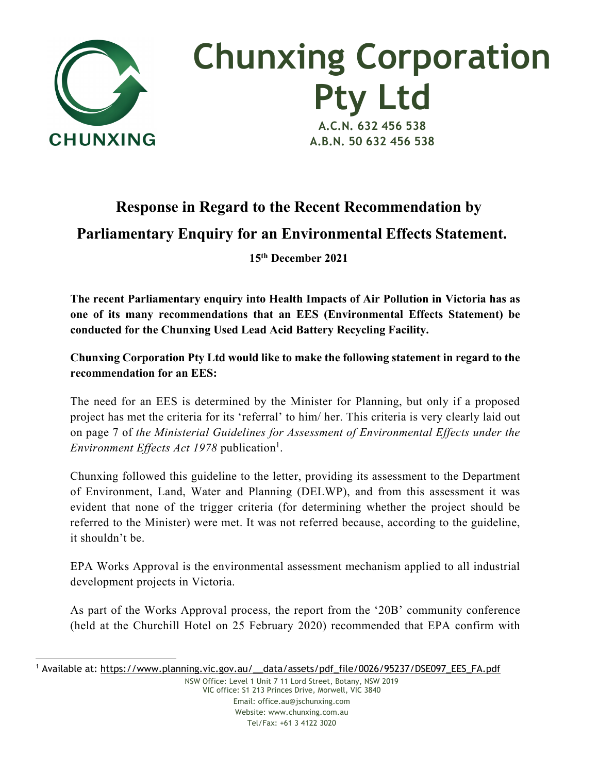

## **Chunxing Corporation Pty Ltd A.C.N. 632 456 538**

**A.B.N. 50 632 456 538**

## **Response in Regard to the Recent Recommendation by Parliamentary Enquiry for an Environmental Effects Statement. 15th December 2021**

**The recent Parliamentary enquiry into Health Impacts of Air Pollution in Victoria has as one of its many recommendations that an EES (Environmental Effects Statement) be conducted for the Chunxing Used Lead Acid Battery Recycling Facility.** 

**Chunxing Corporation Pty Ltd would like to make the following statement in regard to the recommendation for an EES:**

The need for an EES is determined by the Minister for Planning, but only if a proposed project has met the criteria for its 'referral' to him/ her. This criteria is very clearly laid out on page 7 of *the Ministerial Guidelines for Assessment of Environmental Effects under the Environment Effects Act 1978* publication<sup>1</sup>.

Chunxing followed this guideline to the letter, providing its assessment to the Department of Environment, Land, Water and Planning (DELWP), and from this assessment it was evident that none of the trigger criteria (for determining whether the project should be referred to the Minister) were met. It was not referred because, according to the guideline, it shouldn't be.

EPA Works Approval is the environmental assessment mechanism applied to all industrial development projects in Victoria.

As part of the Works Approval process, the report from the '20B' community conference (held at the Churchill Hotel on 25 February 2020) recommended that EPA confirm with

NSW Office: Level 1 Unit 7 11 Lord Street, Botany, NSW 2019 VIC office: S1 213 Princes Drive, Morwell, VIC 3840 Email: office.au@jschunxing.com Website: www.chunxing.com.au Tel/Fax: +61 3 4122 3020

<sup>1</sup> Available at: https://www.planning.vic.gov.au/\_\_data/assets/pdf\_file/0026/95237/DSE097\_EES\_FA.pdf